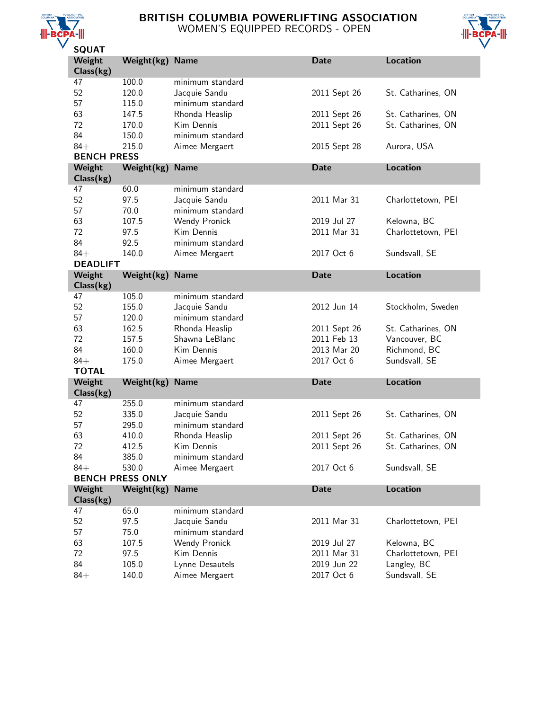

# BRITISH COLUMBIA POWERLIFTING ASSOCIATION WOMEN'S EQUIPPED RECORDS - OPEN



| JQUAI              |                         |                                   |                           |                              |
|--------------------|-------------------------|-----------------------------------|---------------------------|------------------------------|
| Weight             | Weight(kg)              | <b>Name</b>                       | Date                      | <b>Location</b>              |
| Class(kg)          |                         |                                   |                           |                              |
| 47                 | 100.0                   | minimum standard                  |                           |                              |
| 52                 | 120.0                   | Jacquie Sandu                     | 2011 Sept 26              | St. Catharines, ON           |
| 57                 | 115.0                   | minimum standard                  |                           |                              |
| 63                 | 147.5                   | Rhonda Heaslip                    | 2011 Sept 26              | St. Catharines, ON           |
| 72                 | 170.0                   | Kim Dennis                        | 2011 Sept 26              | St. Catharines, ON           |
| 84                 | 150.0                   | minimum standard                  |                           |                              |
| $84+$              | 215.0                   | Aimee Mergaert                    | 2015 Sept 28              | Aurora, USA                  |
| <b>BENCH PRESS</b> |                         |                                   |                           |                              |
| Weight             | Weight(kg)              | <b>Name</b>                       | Date                      | <b>Location</b>              |
| Class(kg)          |                         |                                   |                           |                              |
| 47                 | 60.0                    | minimum standard                  |                           |                              |
| 52                 | 97.5                    | Jacquie Sandu                     | 2011 Mar 31               | Charlottetown, PEI           |
| 57                 | 70.0                    | minimum standard                  |                           |                              |
| 63                 | 107.5                   | Wendy Pronick                     | 2019 Jul 27               | Kelowna, BC                  |
| 72                 | 97.5                    | Kim Dennis                        | 2011 Mar 31               | Charlottetown, PEI           |
| 84                 | 92.5                    | minimum standard                  |                           |                              |
| $84+$              | 140.0                   | Aimee Mergaert                    | 2017 Oct 6                | Sundsvall, SE                |
| <b>DEADLIFT</b>    |                         |                                   |                           |                              |
| Weight             | Weight(kg)              | <b>Name</b>                       | <b>Date</b>               | <b>Location</b>              |
| Class(kg)          |                         |                                   |                           |                              |
| 47                 | 105.0                   | minimum standard                  |                           |                              |
| 52                 | 155.0                   | Jacquie Sandu                     | 2012 Jun 14               | Stockholm, Sweden            |
| 57                 | 120.0                   | minimum standard                  |                           |                              |
| 63                 | 162.5                   | Rhonda Heaslip                    | 2011 Sept 26              | St. Catharines, ON           |
| 72                 | 157.5                   | Shawna LeBlanc                    | 2011 Feb 13               | Vancouver, BC                |
| 84                 | 160.0                   | Kim Dennis                        | 2013 Mar 20               | Richmond, BC                 |
| $84+$              | 175.0                   | Aimee Mergaert                    | 2017 Oct 6                | Sundsvall, SE                |
| <b>TOTAL</b>       |                         |                                   |                           |                              |
|                    |                         |                                   | <b>Date</b>               | <b>Location</b>              |
| Weight             | Weight(kg)              | <b>Name</b>                       |                           |                              |
| Class(kg)          |                         |                                   |                           |                              |
| 47                 | 255.0                   | minimum standard                  |                           |                              |
| 52                 | 335.0                   | Jacquie Sandu                     | 2011 Sept 26              | St. Catharines, ON           |
| 57                 | 295.0                   | minimum standard                  |                           |                              |
| 63                 | 410.0                   | Rhonda Heaslip                    | 2011 Sept 26              | St. Catharines, ON           |
| 72                 | 412.5                   | Kim Dennis                        | 2011 Sept 26              | St. Catharines, ON           |
|                    |                         |                                   |                           |                              |
| 84                 | 385.0                   | minimum standard                  |                           |                              |
| $84+$              | 530.0                   | Aimee Mergaert                    | 2017 Oct 6                | Sundsvall, SE                |
|                    | <b>BENCH PRESS ONLY</b> |                                   |                           |                              |
| Weight             | Weight(kg)              | <b>Name</b>                       | <b>Date</b>               | <b>Location</b>              |
| Class(kg)          |                         |                                   |                           |                              |
| 47                 | 65.0                    | minimum standard                  |                           |                              |
| 52                 | 97.5                    | Jacquie Sandu                     | 2011 Mar 31               | Charlottetown, PEI           |
| 57                 | 75.0                    | minimum standard                  |                           |                              |
| 63                 | 107.5                   | Wendy Pronick                     | 2019 Jul 27               | Kelowna, BC                  |
| 72                 | 97.5                    | Kim Dennis                        | 2011 Mar 31               | Charlottetown, PEI           |
| 84<br>$84+$        | 105.0<br>140.0          | Lynne Desautels<br>Aimee Mergaert | 2019 Jun 22<br>2017 Oct 6 | Langley, BC<br>Sundsvall, SE |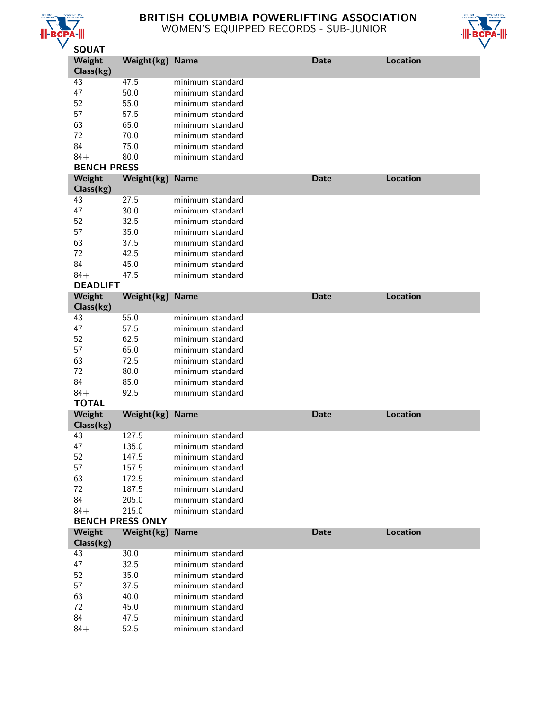

# BRITISH COLUMBIA POWERLIFTING ASSOCIATION WOMEN'S EQUIPPED RECORDS - SUB-JUNIOR



| <b>JYUAI</b>       |                         |                                      |             |                 |
|--------------------|-------------------------|--------------------------------------|-------------|-----------------|
| Weight             | Weight(kg) Name         |                                      | <b>Date</b> | <b>Location</b> |
| Class(kg)          |                         |                                      |             |                 |
| 43                 | 47.5                    | minimum standard                     |             |                 |
| 47                 | 50.0                    | minimum standard                     |             |                 |
| 52                 | 55.0                    | minimum standard                     |             |                 |
| 57                 | 57.5                    | minimum standard                     |             |                 |
| 63                 | 65.0                    | minimum standard                     |             |                 |
| 72                 | 70.0                    | minimum standard                     |             |                 |
| 84                 | 75.0                    | minimum standard                     |             |                 |
| $84+$              | 80.0                    | minimum standard                     |             |                 |
| <b>BENCH PRESS</b> |                         |                                      |             |                 |
| Weight             | Weight(kg)              | <b>Name</b>                          | <b>Date</b> | <b>Location</b> |
| Class(kg)          |                         |                                      |             |                 |
| 43                 | 27.5                    | minimum standard                     |             |                 |
| 47                 | 30.0                    | minimum standard                     |             |                 |
| 52                 | 32.5                    | minimum standard                     |             |                 |
| 57                 | 35.0                    | minimum standard                     |             |                 |
| 63                 | 37.5                    | minimum standard                     |             |                 |
| 72                 | 42.5                    | minimum standard                     |             |                 |
| 84                 | 45.0                    | minimum standard                     |             |                 |
| $84+$              | 47.5                    | minimum standard                     |             |                 |
| <b>DEADLIFT</b>    |                         |                                      |             |                 |
| Weight             | Weight(kg)              | <b>Name</b>                          | <b>Date</b> | <b>Location</b> |
| Class(kg)          |                         |                                      |             |                 |
| 43                 | 55.0                    | minimum standard                     |             |                 |
| 47                 | 57.5                    | minimum standard                     |             |                 |
| 52                 | 62.5                    | minimum standard                     |             |                 |
| 57                 | 65.0                    | minimum standard                     |             |                 |
| 63                 | 72.5                    | minimum standard                     |             |                 |
| 72                 | 80.0                    | minimum standard                     |             |                 |
| 84                 | 85.0                    | minimum standard                     |             |                 |
| $84+$              | 92.5                    | minimum standard                     |             |                 |
| <b>TOTAL</b>       |                         |                                      |             |                 |
| Weight             | Weight(kg)              | <b>Name</b>                          | <b>Date</b> | <b>Location</b> |
| Class(kg)          |                         |                                      |             |                 |
| 43                 | 127.5                   | minimum standard                     |             |                 |
| 47                 | 135.0                   | minimum standard                     |             |                 |
| 52                 | 147.5                   | minimum standard                     |             |                 |
| 57                 | 157.5                   | minimum standard                     |             |                 |
| 63                 | 172.5                   | minimum standard                     |             |                 |
| 72                 | 187.5                   | minimum standard                     |             |                 |
| 84                 | 205.0                   | minimum standard                     |             |                 |
| $84+$              | 215.0                   | minimum standard                     |             |                 |
|                    | <b>BENCH PRESS ONLY</b> |                                      |             |                 |
| Weight             | Weight(kg)              | <b>Name</b>                          | <b>Date</b> | <b>Location</b> |
| Class(kg)          |                         |                                      |             |                 |
| 43                 | 30.0                    | minimum standard                     |             |                 |
| 47                 | 32.5                    | minimum standard                     |             |                 |
| 52                 | 35.0                    | minimum standard                     |             |                 |
|                    |                         |                                      |             |                 |
|                    |                         |                                      |             |                 |
| 57                 | 37.5                    | minimum standard                     |             |                 |
| 63                 | 40.0                    | minimum standard                     |             |                 |
| 72                 | 45.0                    | minimum standard                     |             |                 |
| 84<br>$84+$        | 47.5<br>52.5            | minimum standard<br>minimum standard |             |                 |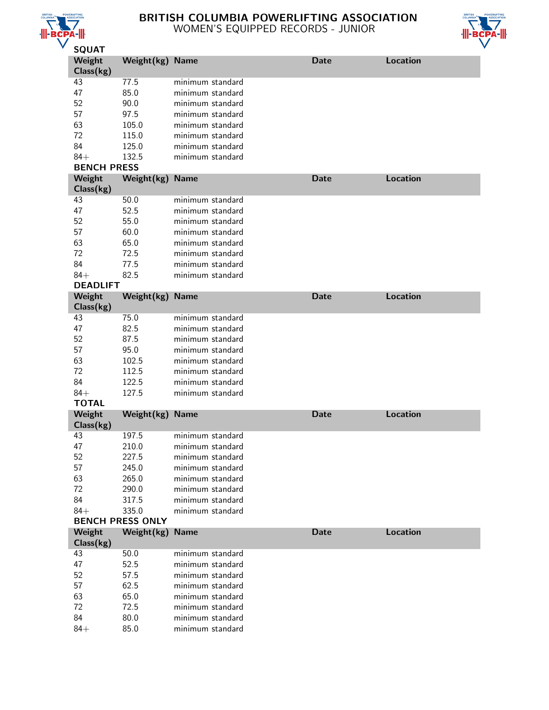

# BRITISH COLUMBIA POWERLIFTING ASSOCIATION WOMEN'S EQUIPPED RECORDS - JUNIOR



| コマロー                |                         |                                      |             |                 |
|---------------------|-------------------------|--------------------------------------|-------------|-----------------|
| Weight<br>Class(kg) | Weight(kg) Name         |                                      | <b>Date</b> | <b>Location</b> |
| 43                  | 77.5                    | minimum standard                     |             |                 |
| 47                  | 85.0                    | minimum standard                     |             |                 |
| 52                  | 90.0                    | minimum standard                     |             |                 |
| 57                  | 97.5                    | minimum standard                     |             |                 |
| 63                  | 105.0                   | minimum standard                     |             |                 |
| 72                  | 115.0                   | minimum standard                     |             |                 |
| 84                  | 125.0                   | minimum standard                     |             |                 |
| $84+$               | 132.5                   | minimum standard                     |             |                 |
| <b>BENCH PRESS</b>  |                         |                                      |             |                 |
| Weight              | Weight(kg)              | <b>Name</b>                          | <b>Date</b> | <b>Location</b> |
| Class(kg)           |                         |                                      |             |                 |
| 43                  | 50.0                    | minimum standard                     |             |                 |
| 47                  | 52.5                    | minimum standard                     |             |                 |
| 52                  | 55.0                    | minimum standard                     |             |                 |
| 57                  | 60.0                    | minimum standard                     |             |                 |
| 63                  | 65.0                    | minimum standard                     |             |                 |
| 72                  | 72.5                    | minimum standard                     |             |                 |
| 84                  | 77.5                    | minimum standard                     |             |                 |
| $84+$               | 82.5                    | minimum standard                     |             |                 |
| <b>DEADLIFT</b>     |                         |                                      |             |                 |
| Weight              | Weight(kg)              | <b>Name</b>                          | <b>Date</b> | <b>Location</b> |
| Class(kg)           |                         |                                      |             |                 |
| 43                  | 75.0                    | minimum standard                     |             |                 |
| 47                  | 82.5                    | minimum standard                     |             |                 |
| 52                  | 87.5                    | minimum standard                     |             |                 |
| 57                  | 95.0                    | minimum standard                     |             |                 |
| 63                  | 102.5                   | minimum standard                     |             |                 |
| 72                  | 112.5                   | minimum standard                     |             |                 |
| 84                  | 122.5                   | minimum standard                     |             |                 |
| $84+$               | 127.5                   | minimum standard                     |             |                 |
| <b>TOTAL</b>        |                         |                                      |             |                 |
| Weight              | Weight(kg)              | <b>Name</b>                          | <b>Date</b> | <b>Location</b> |
| Class(kg)           |                         |                                      |             |                 |
| 43                  | 197.5                   | minimum standard                     |             |                 |
| 47                  | 210.0                   | minimum standard                     |             |                 |
| 52                  | 227.5                   | minimum standard                     |             |                 |
| 57                  | 245.0                   | minimum standard                     |             |                 |
| 63                  | 265.0                   | minimum standard                     |             |                 |
| 72                  | 290.0                   | minimum standard                     |             |                 |
| 84                  | 317.5                   | minimum standard                     |             |                 |
| $84+$               | 335.0                   | minimum standard                     |             |                 |
|                     | <b>BENCH PRESS ONLY</b> |                                      |             |                 |
| Weight              | Weight(kg)              | <b>Name</b>                          | <b>Date</b> | <b>Location</b> |
| Class(kg)           |                         |                                      |             |                 |
| 43                  | 50.0                    | minimum standard                     |             |                 |
| 47                  | 52.5                    | minimum standard                     |             |                 |
| 52                  | 57.5                    | minimum standard                     |             |                 |
| 57                  | 62.5                    | minimum standard                     |             |                 |
| 63                  | 65.0                    | minimum standard                     |             |                 |
| 72                  |                         |                                      |             |                 |
|                     | 72.5                    | minimum standard                     |             |                 |
| 84<br>$84+$         | 80.0<br>85.0            | minimum standard<br>minimum standard |             |                 |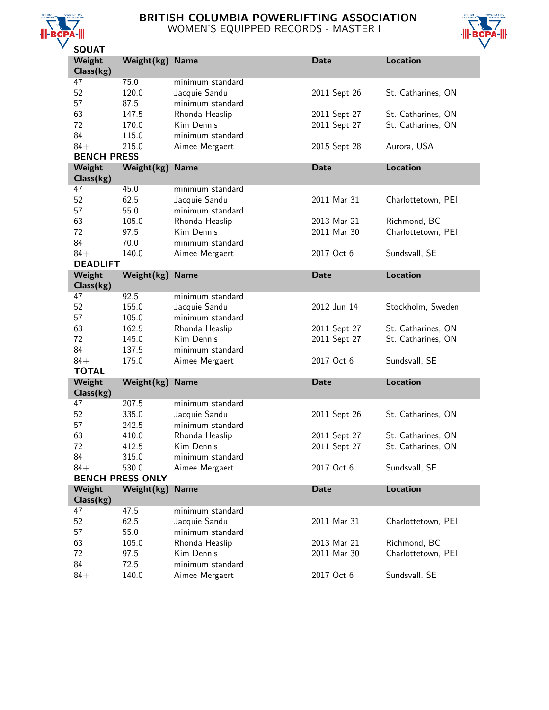

# BRITISH COLUMBIA POWERLIFTING ASSOCIATION WOMEN'S EQUIPPED RECORDS - MASTER I



| JQUAI              |                         |                  |              |                    |
|--------------------|-------------------------|------------------|--------------|--------------------|
| Weight             | Weight(kg)              | <b>Name</b>      | Date         | <b>Location</b>    |
| Class(kg)          |                         |                  |              |                    |
| 47                 | 75.0                    | minimum standard |              |                    |
| 52                 | 120.0                   | Jacquie Sandu    | 2011 Sept 26 | St. Catharines, ON |
| 57                 | 87.5                    | minimum standard |              |                    |
|                    |                         |                  |              |                    |
| 63                 | 147.5                   | Rhonda Heaslip   | 2011 Sept 27 | St. Catharines, ON |
| 72                 | 170.0                   | Kim Dennis       | 2011 Sept 27 | St. Catharines, ON |
| 84                 | 115.0                   | minimum standard |              |                    |
| $84+$              | 215.0                   | Aimee Mergaert   | 2015 Sept 28 | Aurora, USA        |
| <b>BENCH PRESS</b> |                         |                  |              |                    |
| Weight             | Weight(kg)              | <b>Name</b>      | <b>Date</b>  | <b>Location</b>    |
| Class(kg)          |                         |                  |              |                    |
| 47                 | 45.0                    | minimum standard |              |                    |
| 52                 | 62.5                    | Jacquie Sandu    | 2011 Mar 31  | Charlottetown, PEI |
| 57                 | 55.0                    | minimum standard |              |                    |
|                    |                         |                  |              |                    |
| 63                 | 105.0                   | Rhonda Heaslip   | 2013 Mar 21  | Richmond, BC       |
| 72                 | 97.5                    | Kim Dennis       | 2011 Mar 30  | Charlottetown, PEI |
| 84                 | 70.0                    | minimum standard |              |                    |
| $84+$              | 140.0                   | Aimee Mergaert   | 2017 Oct 6   | Sundsvall, SE      |
| <b>DEADLIFT</b>    |                         |                  |              |                    |
| Weight             | Weight(kg)              | <b>Name</b>      | <b>Date</b>  | <b>Location</b>    |
| Class(kg)          |                         |                  |              |                    |
| 47                 | 92.5                    | minimum standard |              |                    |
| 52                 | 155.0                   | Jacquie Sandu    | 2012 Jun 14  | Stockholm, Sweden  |
|                    |                         |                  |              |                    |
| 57                 | 105.0                   | minimum standard |              |                    |
| 63                 | 162.5                   | Rhonda Heaslip   | 2011 Sept 27 | St. Catharines, ON |
| 72                 | 145.0                   | Kim Dennis       | 2011 Sept 27 | St. Catharines, ON |
| 84                 | 137.5                   | minimum standard |              |                    |
| $84+$              | 175.0                   | Aimee Mergaert   | 2017 Oct 6   | Sundsvall, SE      |
| <b>TOTAL</b>       |                         |                  |              |                    |
| Weight             | Weight(kg)              | <b>Name</b>      | <b>Date</b>  | <b>Location</b>    |
| Class(kg)          |                         |                  |              |                    |
| 47                 | 207.5                   | minimum standard |              |                    |
|                    |                         |                  |              |                    |
| 52                 | 335.0                   | Jacquie Sandu    | 2011 Sept 26 | St. Catharines, ON |
| 57                 | 242.5                   | minimum standard |              |                    |
| 63                 | 410.0                   | Rhonda Heaslip   | 2011 Sept 27 | St. Catharines, ON |
| 72                 | 412.5                   | Kim Dennis       | 2011 Sept 27 | St. Catharines, ON |
| 84                 | 315.0                   | minimum standard |              |                    |
| $84+$              | 530.0                   | Aimee Mergaert   | 2017 Oct 6   | Sundsvall, SE      |
|                    | <b>BENCH PRESS ONLY</b> |                  |              |                    |
| Weight             | Weight(kg)              | <b>Name</b>      | <b>Date</b>  | <b>Location</b>    |
| Class(kg)          |                         |                  |              |                    |
| 47                 | 47.5                    | minimum standard |              |                    |
|                    |                         |                  |              |                    |
| 52                 | 62.5                    | Jacquie Sandu    | 2011 Mar 31  | Charlottetown, PEI |
| 57                 | 55.0                    | minimum standard |              |                    |
| 63                 | 105.0                   | Rhonda Heaslip   | 2013 Mar 21  | Richmond, BC       |
| 72                 | 97.5                    | Kim Dennis       | 2011 Mar 30  | Charlottetown, PEI |
|                    |                         |                  |              |                    |
| 84                 | 72.5                    | minimum standard | 2017 Oct 6   |                    |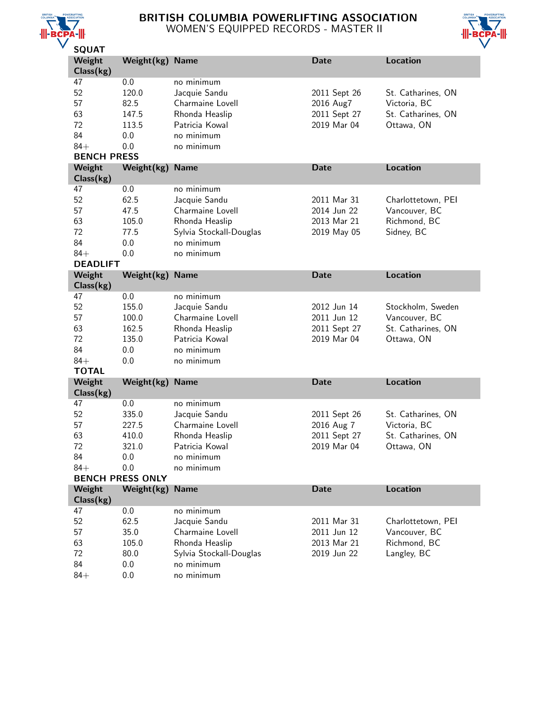

# BRITISH COLUMBIA POWERLIFTING ASSOCIATION WOMEN'S EQUIPPED RECORDS - MASTER II



| SQUAI              |                         |                         |              |                    |
|--------------------|-------------------------|-------------------------|--------------|--------------------|
| Weight             | Weight(kg)              | <b>Name</b>             | <b>Date</b>  | <b>Location</b>    |
| Class(kg)          |                         |                         |              |                    |
| 47                 | 0.0                     | no minimum              |              |                    |
| 52                 | 120.0                   | Jacquie Sandu           | 2011 Sept 26 | St. Catharines, ON |
| 57                 | 82.5                    | Charmaine Lovell        | 2016 Aug7    | Victoria, BC       |
| 63                 | 147.5                   | Rhonda Heaslip          | 2011 Sept 27 | St. Catharines, ON |
|                    |                         |                         |              |                    |
| 72                 | 113.5                   | Patricia Kowal          | 2019 Mar 04  | Ottawa, ON         |
| 84                 | 0.0                     | no minimum              |              |                    |
| $84+$              | 0.0                     | no minimum              |              |                    |
| <b>BENCH PRESS</b> |                         |                         |              |                    |
| Weight             | Weight(kg)              | <b>Name</b>             | <b>Date</b>  | <b>Location</b>    |
| Class(kg)          |                         |                         |              |                    |
| 47                 | 0.0                     | no minimum              |              |                    |
| 52                 | 62.5                    | Jacquie Sandu           | 2011 Mar 31  | Charlottetown, PEI |
| 57                 | 47.5                    | Charmaine Lovell        | 2014 Jun 22  | Vancouver, BC      |
| 63                 | 105.0                   |                         | 2013 Mar 21  | Richmond, BC       |
|                    |                         | Rhonda Heaslip          |              |                    |
| 72                 | 77.5                    | Sylvia Stockall-Douglas | 2019 May 05  | Sidney, BC         |
| 84                 | 0.0                     | no minimum              |              |                    |
| $84+$              | 0.0                     | no minimum              |              |                    |
| <b>DEADLIFT</b>    |                         |                         |              |                    |
| Weight             | Weight(kg)              | <b>Name</b>             | <b>Date</b>  | <b>Location</b>    |
| Class(kg)          |                         |                         |              |                    |
| 47                 | 0.0                     | no minimum              |              |                    |
| 52                 | 155.0                   | Jacquie Sandu           | 2012 Jun 14  | Stockholm, Sweden  |
| 57                 | 100.0                   | Charmaine Lovell        | 2011 Jun 12  | Vancouver, BC      |
| 63                 | 162.5                   | Rhonda Heaslip          | 2011 Sept 27 | St. Catharines, ON |
| 72                 | 135.0                   | Patricia Kowal          | 2019 Mar 04  |                    |
|                    |                         |                         |              | Ottawa, ON         |
| 84                 | 0.0                     | no minimum              |              |                    |
| $84+$              | 0.0                     | no minimum              |              |                    |
| <b>TOTAL</b>       |                         |                         |              |                    |
| Weight             | Weight(kg)              | <b>Name</b>             | <b>Date</b>  | <b>Location</b>    |
| Class(kg)          |                         |                         |              |                    |
| 47                 | 0.0                     | no minimum              |              |                    |
| 52                 | 335.0                   | Jacquie Sandu           | 2011 Sept 26 | St. Catharines, ON |
| 57                 | 227.5                   | Charmaine Lovell        | 2016 Aug 7   | Victoria, BC       |
| 63                 | 410.0                   | Rhonda Heaslip          | 2011 Sept 27 | St. Catharines, ON |
| 72                 | 321.0                   | Patricia Kowal          | 2019 Mar 04  | Ottawa, ON         |
| 84                 | 0.0                     | no minimum              |              |                    |
| $84+$              |                         |                         |              |                    |
|                    | 0.0                     | no minimum              |              |                    |
|                    | <b>BENCH PRESS ONLY</b> |                         |              |                    |
| Weight             | Weight(kg)              | <b>Name</b>             | <b>Date</b>  | <b>Location</b>    |
| Class(kg)          |                         |                         |              |                    |
| 47                 | 0.0                     | no minimum              |              |                    |
| 52                 | 62.5                    | Jacquie Sandu           | 2011 Mar 31  | Charlottetown, PEI |
| 57                 | 35.0                    | Charmaine Lovell        | 2011 Jun 12  | Vancouver, BC      |
| 63                 | 105.0                   | Rhonda Heaslip          | 2013 Mar 21  | Richmond, BC       |
| 72                 | 80.0                    | Sylvia Stockall-Douglas | 2019 Jun 22  | Langley, BC        |
| 84                 | 0.0                     | no minimum              |              |                    |
| $84+$              | 0.0                     | no minimum              |              |                    |
|                    |                         |                         |              |                    |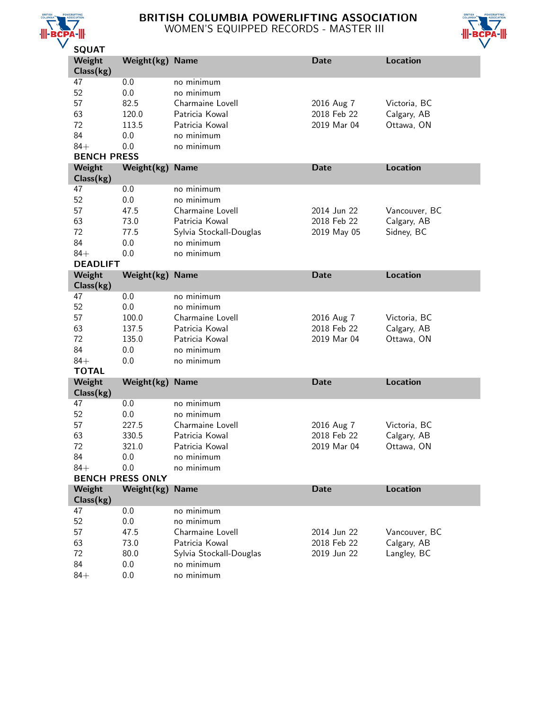

# BRITISH COLUMBIA POWERLIFTING ASSOCIATION WOMEN'S EQUIPPED RECORDS - MASTER III



| JQUAI              |                         |                         |             |                 |
|--------------------|-------------------------|-------------------------|-------------|-----------------|
| Weight             | Weight(kg) Name         |                         | <b>Date</b> | Location        |
| Class(kg)          |                         |                         |             |                 |
| 47                 | 0.0                     | no minimum              |             |                 |
| 52                 | 0.0                     | no minimum              |             |                 |
| 57                 | 82.5                    | Charmaine Lovell        | 2016 Aug 7  | Victoria, BC    |
| 63                 | 120.0                   | Patricia Kowal          | 2018 Feb 22 | Calgary, AB     |
| 72                 | 113.5                   | Patricia Kowal          | 2019 Mar 04 | Ottawa, ON      |
| 84                 | 0.0                     | no minimum              |             |                 |
| $84+$              | 0.0                     | no minimum              |             |                 |
| <b>BENCH PRESS</b> |                         |                         |             |                 |
|                    |                         |                         |             |                 |
| Weight             | Weight(kg)              | <b>Name</b>             | <b>Date</b> | <b>Location</b> |
| Class(kg)          |                         |                         |             |                 |
| 47                 | 0.0                     | no minimum              |             |                 |
| 52                 | 0.0                     | no minimum              |             |                 |
| 57                 | 47.5                    | Charmaine Lovell        | 2014 Jun 22 | Vancouver, BC   |
| 63                 | 73.0                    | Patricia Kowal          | 2018 Feb 22 | Calgary, AB     |
| 72                 | 77.5                    | Sylvia Stockall-Douglas | 2019 May 05 | Sidney, BC      |
| 84                 | 0.0                     | no minimum              |             |                 |
| $84+$              | 0.0                     | no minimum              |             |                 |
| <b>DEADLIFT</b>    |                         |                         |             |                 |
| Weight             | Weight(kg)              | <b>Name</b>             | <b>Date</b> | <b>Location</b> |
| Class(kg)          |                         |                         |             |                 |
| 47                 | 0.0                     | no minimum              |             |                 |
| 52                 | 0.0                     | no minimum              |             |                 |
| 57                 | 100.0                   | Charmaine Lovell        | 2016 Aug 7  | Victoria, BC    |
| 63                 |                         | Patricia Kowal          | 2018 Feb 22 |                 |
|                    | 137.5                   |                         |             | Calgary, AB     |
| 72                 | 135.0                   | Patricia Kowal          | 2019 Mar 04 | Ottawa, ON      |
| 84                 | 0.0                     | no minimum              |             |                 |
| $84+$              | 0.0                     | no minimum              |             |                 |
| <b>TOTAL</b>       |                         |                         |             |                 |
| Weight             | Weight(kg)              | <b>Name</b>             | <b>Date</b> | <b>Location</b> |
| Class(kg)          |                         |                         |             |                 |
| 47                 | 0.0                     | no minimum              |             |                 |
| 52                 | 0.0                     | no minimum              |             |                 |
| 57                 | 227.5                   | Charmaine Lovell        | 2016 Aug 7  | Victoria, BC    |
| 63                 | 330.5                   | Patricia Kowal          | 2018 Feb 22 | Calgary, AB     |
| 72                 | 321.0                   | Patricia Kowal          | 2019 Mar 04 | Ottawa, ON      |
| 84                 | 0.0                     | no minimum              |             |                 |
| $84+$              | 0.0                     | no minimum              |             |                 |
|                    | <b>BENCH PRESS ONLY</b> |                         |             |                 |
| Weight             | Weight(kg)              | <b>Name</b>             | <b>Date</b> | <b>Location</b> |
|                    |                         |                         |             |                 |
| Class(kg)          |                         | no minimum              |             |                 |
| 47                 | 0.0                     |                         |             |                 |
| 52                 | 0.0                     | no minimum              |             |                 |
| 57                 | 47.5                    | Charmaine Lovell        | 2014 Jun 22 | Vancouver, BC   |
| 63                 | 73.0                    | Patricia Kowal          | 2018 Feb 22 | Calgary, AB     |
| 72                 | 80.0                    | Sylvia Stockall-Douglas | 2019 Jun 22 | Langley, BC     |
| 84                 |                         | no minimum              |             |                 |
| $84+$              | 0.0<br>0.0              | no minimum              |             |                 |